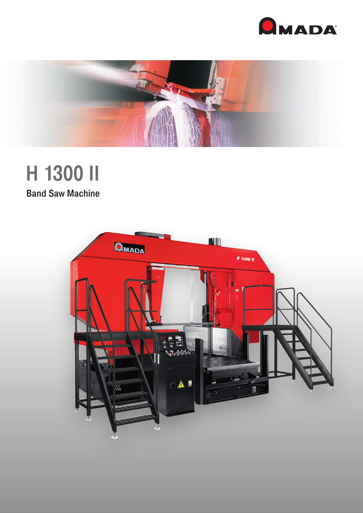



# H 1300 II

**Band Saw Machine**